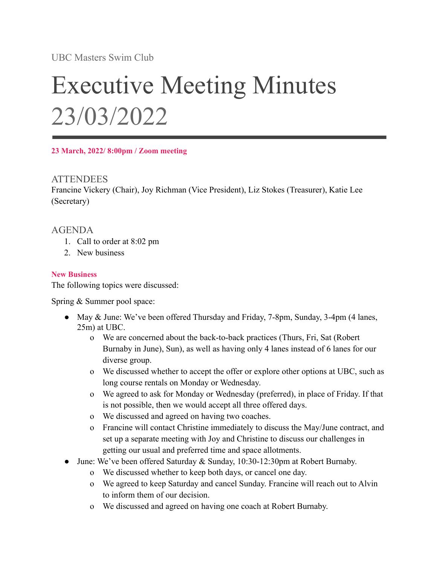UBC Masters Swim Club

# Executive Meeting Minutes 23/03/2022

**23 March, 2022/ 8:00pm / Zoom meeting**

### **ATTENDEES**

Francine Vickery (Chair), Joy Richman (Vice President), Liz Stokes (Treasurer), Katie Lee (Secretary)

## AGENDA

- 1. Call to order at 8:02 pm
- 2. New business

#### **New Business**

The following topics were discussed:

Spring & Summer pool space:

- May & June: We've been offered Thursday and Friday, 7-8pm, Sunday, 3-4pm (4 lanes, 25m) at UBC.
	- o We are concerned about the back-to-back practices (Thurs, Fri, Sat (Robert Burnaby in June), Sun), as well as having only 4 lanes instead of 6 lanes for our diverse group.
	- o We discussed whether to accept the offer or explore other options at UBC, such as long course rentals on Monday or Wednesday.
	- o We agreed to ask for Monday or Wednesday (preferred), in place of Friday. If that is not possible, then we would accept all three offered days.
	- o We discussed and agreed on having two coaches.
	- o Francine will contact Christine immediately to discuss the May/June contract, and set up a separate meeting with Joy and Christine to discuss our challenges in getting our usual and preferred time and space allotments.
- June: We've been offered Saturday  $\&$  Sunday, 10:30-12:30pm at Robert Burnaby.
	- o We discussed whether to keep both days, or cancel one day.
	- o We agreed to keep Saturday and cancel Sunday. Francine will reach out to Alvin to inform them of our decision.
	- o We discussed and agreed on having one coach at Robert Burnaby.